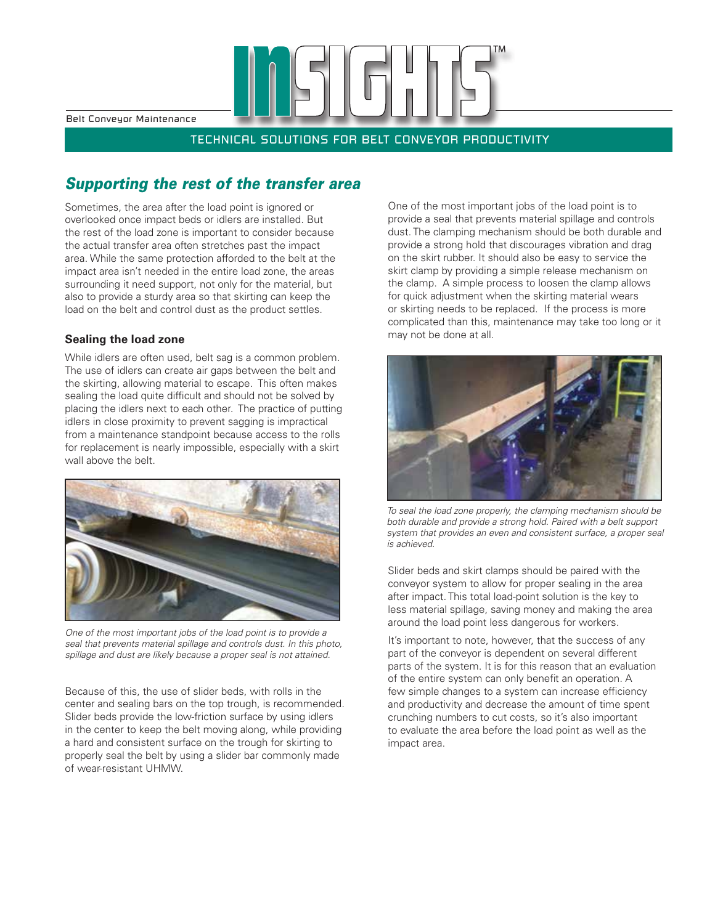Belt Conveyor Maintenance

TECHNICAL SOLUTIONS FOR BELT CONVEYOR PRODUCTIVITY

## *Supporting the rest of the transfer area*

Sometimes, the area after the load point is ignored or overlooked once impact beds or idlers are installed. But the rest of the load zone is important to consider because the actual transfer area often stretches past the impact area. While the same protection afforded to the belt at the impact area isn't needed in the entire load zone, the areas surrounding it need support, not only for the material, but also to provide a sturdy area so that skirting can keep the load on the belt and control dust as the product settles.

#### **Sealing the load zone**

While idlers are often used, belt sag is a common problem. The use of idlers can create air gaps between the belt and the skirting, allowing material to escape. This often makes sealing the load quite difficult and should not be solved by placing the idlers next to each other. The practice of putting idlers in close proximity to prevent sagging is impractical from a maintenance standpoint because access to the rolls for replacement is nearly impossible, especially with a skirt wall above the belt.



*One of the most important jobs of the load point is to provide a seal that prevents material spillage and controls dust. In this photo, spillage and dust are likely because a proper seal is not attained.*

Because of this, the use of slider beds, with rolls in the center and sealing bars on the top trough, is recommended. Slider beds provide the low-friction surface by using idlers in the center to keep the belt moving along, while providing a hard and consistent surface on the trough for skirting to properly seal the belt by using a slider bar commonly made of wear-resistant UHMW.

One of the most important jobs of the load point is to provide a seal that prevents material spillage and controls dust. The clamping mechanism should be both durable and provide a strong hold that discourages vibration and drag on the skirt rubber. It should also be easy to service the skirt clamp by providing a simple release mechanism on the clamp. A simple process to loosen the clamp allows for quick adjustment when the skirting material wears or skirting needs to be replaced. If the process is more complicated than this, maintenance may take too long or it may not be done at all.



*To seal the load zone properly, the clamping mechanism should be both durable and provide a strong hold. Paired with a belt support system that provides an even and consistent surface, a proper seal is achieved.*

Slider beds and skirt clamps should be paired with the conveyor system to allow for proper sealing in the area after impact. This total load-point solution is the key to less material spillage, saving money and making the area around the load point less dangerous for workers.

It's important to note, however, that the success of any part of the conveyor is dependent on several different parts of the system. It is for this reason that an evaluation of the entire system can only benefit an operation. A few simple changes to a system can increase efficiency and productivity and decrease the amount of time spent crunching numbers to cut costs, so it's also important to evaluate the area before the load point as well as the impact area.